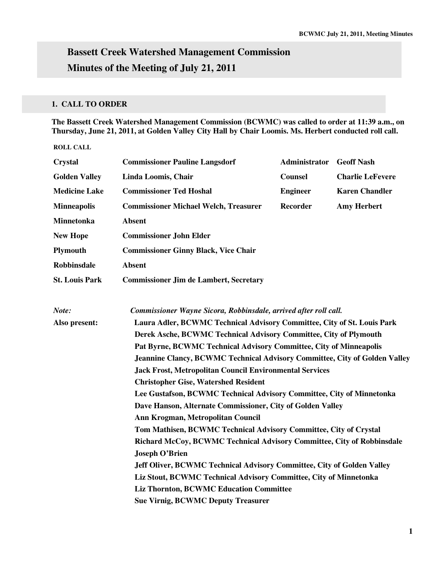# **Bassett Creek Watershed Management Commission Minutes of the Meeting of July 21, 2011**

## **1. CALL TO ORDER**

**The Bassett Creek Watershed Management Commission (BCWMC) was called to order at 11:39 a.m., on Thursday, June 21, 2011, at Golden Valley City Hall by Chair Loomis. Ms. Herbert conducted roll call.** 

**ROLL CALL** 

| <b>Crystal</b>        | <b>Commissioner Pauline Langsdorf</b>                                                                                                               | Administrator   | <b>Geoff Nash</b>       |  |  |
|-----------------------|-----------------------------------------------------------------------------------------------------------------------------------------------------|-----------------|-------------------------|--|--|
| <b>Golden Valley</b>  | Linda Loomis, Chair                                                                                                                                 | <b>Counsel</b>  | <b>Charlie LeFevere</b> |  |  |
| <b>Medicine Lake</b>  | <b>Commissioner Ted Hoshal</b>                                                                                                                      | <b>Engineer</b> | <b>Karen Chandler</b>   |  |  |
| <b>Minneapolis</b>    | <b>Commissioner Michael Welch, Treasurer</b>                                                                                                        | <b>Recorder</b> | <b>Amy Herbert</b>      |  |  |
| Minnetonka            | <b>Absent</b>                                                                                                                                       |                 |                         |  |  |
| <b>New Hope</b>       | <b>Commissioner John Elder</b>                                                                                                                      |                 |                         |  |  |
| <b>Plymouth</b>       | <b>Commissioner Ginny Black, Vice Chair</b>                                                                                                         |                 |                         |  |  |
| Robbinsdale           | <b>Absent</b>                                                                                                                                       |                 |                         |  |  |
| <b>St. Louis Park</b> | <b>Commissioner Jim de Lambert, Secretary</b>                                                                                                       |                 |                         |  |  |
| Note:                 | Commissioner Wayne Sicora, Robbinsdale, arrived after roll call.                                                                                    |                 |                         |  |  |
| Also present:         | Laura Adler, BCWMC Technical Advisory Committee, City of St. Louis Park                                                                             |                 |                         |  |  |
|                       | Derek Asche, BCWMC Technical Advisory Committee, City of Plymouth                                                                                   |                 |                         |  |  |
|                       | Pat Byrne, BCWMC Technical Advisory Committee, City of Minneapolis                                                                                  |                 |                         |  |  |
|                       | <b>Jeannine Clancy, BCWMC Technical Advisory Committee, City of Golden Valley</b><br><b>Jack Frost, Metropolitan Council Environmental Services</b> |                 |                         |  |  |
|                       |                                                                                                                                                     |                 |                         |  |  |
|                       | <b>Christopher Gise, Watershed Resident</b>                                                                                                         |                 |                         |  |  |
|                       | Lee Gustafson, BCWMC Technical Advisory Committee, City of Minnetonka                                                                               |                 |                         |  |  |
|                       | Dave Hanson, Alternate Commissioner, City of Golden Valley                                                                                          |                 |                         |  |  |
|                       | Ann Krogman, Metropolitan Council                                                                                                                   |                 |                         |  |  |
|                       | Tom Mathisen, BCWMC Technical Advisory Committee, City of Crystal                                                                                   |                 |                         |  |  |
|                       | Richard McCoy, BCWMC Technical Advisory Committee, City of Robbinsdale                                                                              |                 |                         |  |  |
|                       | <b>Joseph O'Brien</b>                                                                                                                               |                 |                         |  |  |
|                       | Jeff Oliver, BCWMC Technical Advisory Committee, City of Golden Valley                                                                              |                 |                         |  |  |
|                       | Liz Stout, BCWMC Technical Advisory Committee, City of Minnetonka                                                                                   |                 |                         |  |  |
|                       | <b>Liz Thornton, BCWMC Education Committee</b>                                                                                                      |                 |                         |  |  |
|                       | <b>Sue Virnig, BCWMC Deputy Treasurer</b>                                                                                                           |                 |                         |  |  |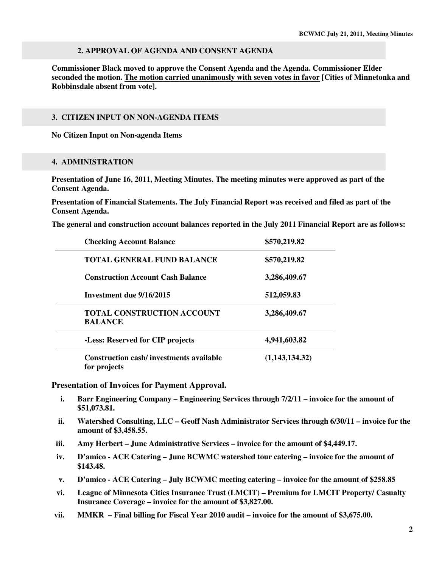#### **2. APPROVAL OF AGENDA AND CONSENT AGENDA**

**Commissioner Black moved to approve the Consent Agenda and the Agenda. Commissioner Elder seconded the motion. The motion carried unanimously with seven votes in favor [Cities of Minnetonka and Robbinsdale absent from vote].** 

#### **3. CITIZEN INPUT ON NON-AGENDA ITEMS**

**No Citizen Input on Non-agenda Items** 

#### **4. ADMINISTRATION**

**Presentation of June 16, 2011, Meeting Minutes. The meeting minutes were approved as part of the Consent Agenda.** 

**Presentation of Financial Statements. The July Financial Report was received and filed as part of the Consent Agenda.** 

**The general and construction account balances reported in the July 2011 Financial Report are as follows:** 

| <b>Checking Account Balance</b>                                | \$570,219.82   |
|----------------------------------------------------------------|----------------|
| <b>TOTAL GENERAL FUND BALANCE</b>                              | \$570,219.82   |
| <b>Construction Account Cash Balance</b>                       | 3,286,409.67   |
| Investment due 9/16/2015                                       | 512,059.83     |
| <b>TOTAL CONSTRUCTION ACCOUNT</b><br><b>BALANCE</b>            | 3,286,409.67   |
| -Less: Reserved for CIP projects                               | 4,941,603.82   |
| <b>Construction cash/investments available</b><br>for projects | (1,143,134.32) |

**Presentation of Invoices for Payment Approval.** 

- **i. Barr Engineering Company Engineering Services through 7/2/11 invoice for the amount of \$51,073.81.**
- **ii. Watershed Consulting, LLC Geoff Nash Administrator Services through 6/30/11 invoice for the amount of \$3,458.55.**
- **iii. Amy Herbert June Administrative Services invoice for the amount of \$4,449.17.**
- **iv. D'amico ACE Catering June BCWMC watershed tour catering invoice for the amount of \$143.48.**
- **v. D'amico ACE Catering July BCWMC meeting catering invoice for the amount of \$258.85**
- **vi. League of Minnesota Cities Insurance Trust (LMCIT) Premium for LMCIT Property/ Casualty Insurance Coverage – invoice for the amount of \$3,827.00.**
- **vii. MMKR Final billing for Fiscal Year 2010 audit invoice for the amount of \$3,675.00.**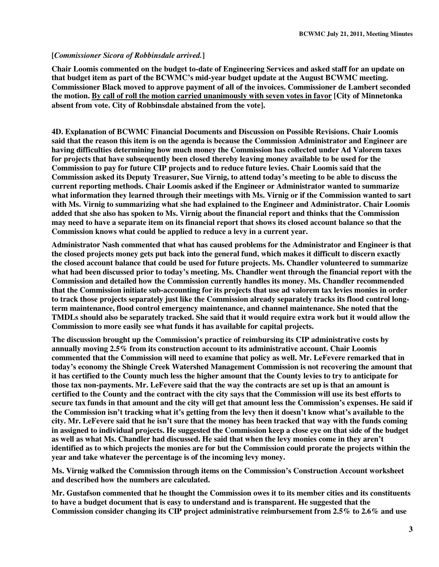#### **[***Commissioner Sicora of Robbinsdale arrived.***]**

**Chair Loomis commented on the budget to-date of Engineering Services and asked staff for an update on that budget item as part of the BCWMC's mid-year budget update at the August BCWMC meeting. Commissioner Black moved to approve payment of all of the invoices. Commissioner de Lambert seconded the motion. By call of roll the motion carried unanimously with seven votes in favor [City of Minnetonka absent from vote. City of Robbinsdale abstained from the vote].** 

**4D. Explanation of BCWMC Financial Documents and Discussion on Possible Revisions. Chair Loomis said that the reason this item is on the agenda is because the Commission Administrator and Engineer are having difficulties determining how much money the Commission has collected under Ad Valorem taxes for projects that have subsequently been closed thereby leaving money available to be used for the Commission to pay for future CIP projects and to reduce future levies. Chair Loomis said that the Commission asked its Deputy Treasurer, Sue Virnig, to attend today's meeting to be able to discuss the current reporting methods. Chair Loomis asked if the Engineer or Administrator wanted to summarize what information they learned through their meetings with Ms. Virnig or if the Commission wanted to sart with Ms. Virnig to summarizing what she had explained to the Engineer and Administrator. Chair Loomis added that she also has spoken to Ms. Virnig about the financial report and thinks that the Commission may need to have a separate item on its financial report that shows its closed account balance so that the Commission knows what could be applied to reduce a levy in a current year.** 

**Administrator Nash commented that what has caused problems for the Administrator and Engineer is that the closed projects money gets put back into the general fund, which makes it difficult to discern exactly the closed account balance that could be used for future projects. Ms. Chandler volunteered to summarize what had been discussed prior to today's meeting. Ms. Chandler went through the financial report with the Commission and detailed how the Commission currently handles its money. Ms. Chandler recommended that the Commission initiate sub-accounting for its projects that use ad valorem tax levies monies in order to track those projects separately just like the Commission already separately tracks its flood control longterm maintenance, flood control emergency maintenance, and channel maintenance. She noted that the TMDLs should also be separately tracked. She said that it would require extra work but it would allow the Commission to more easily see what funds it has available for capital projects.** 

**The discussion brought up the Commission's practice of reimbursing its CIP administrative costs by annually moving 2.5% from its construction account to its administrative account. Chair Loomis commented that the Commission will need to examine that policy as well. Mr. LeFevere remarked that in today's economy the Shingle Creek Watershed Management Commission is not recovering the amount that it has certified to the County much less the higher amount that the County levies to try to anticipate for those tax non-payments. Mr. LeFevere said that the way the contracts are set up is that an amount is certified to the County and the contract with the city says that the Commission will use its best efforts to secure tax funds in that amount and the city will get that amount less the Commission's expenses. He said if the Commission isn't tracking what it's getting from the levy then it doesn't know what's available to the city. Mr. LeFevere said that he isn't sure that the money has been tracked that way with the funds coming in assigned to individual projects. He suggested the Commission keep a close eye on that side of the budget as well as what Ms. Chandler had discussed. He said that when the levy monies come in they aren't identified as to which projects the monies are for but the Commission could prorate the projects within the year and take whatever the percentage is of the incoming levy money.** 

**Ms. Virnig walked the Commission through items on the Commission's Construction Account worksheet and described how the numbers are calculated.** 

**Mr. Gustafson commented that he thought the Commission owes it to its member cities and its constituents to have a budget document that is easy to understand and is transparent. He suggested that the Commission consider changing its CIP project administrative reimbursement from 2.5% to 2.6% and use**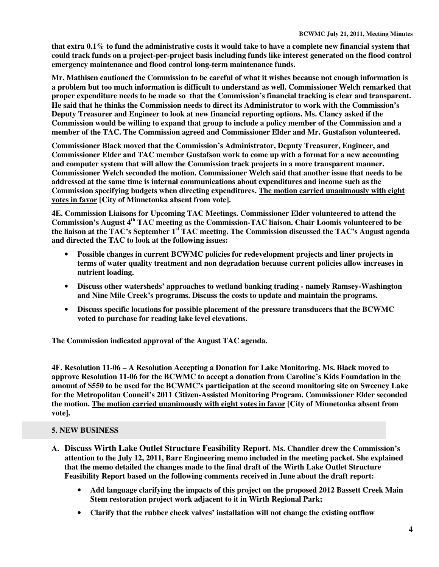**that extra 0.1% to fund the administrative costs it would take to have a complete new financial system that could track funds on a project-per-project basis including funds like interest generated on the flood control emergency maintenance and flood control long-term maintenance funds.** 

**Mr. Mathisen cautioned the Commission to be careful of what it wishes because not enough information is a problem but too much information is difficult to understand as well. Commissioner Welch remarked that proper expenditure needs to be made so that the Commission's financial tracking is clear and transparent. He said that he thinks the Commission needs to direct its Administrator to work with the Commission's Deputy Treasurer and Engineer to look at new financial reporting options. Ms. Clancy asked if the Commission would be willing to expand that group to include a policy member of the Commission and a member of the TAC. The Commission agreed and Commissioner Elder and Mr. Gustafson volunteered.** 

**Commissioner Black moved that the Commission's Administrator, Deputy Treasurer, Engineer, and Commissioner Elder and TAC member Gustafson work to come up with a format for a new accounting and computer system that will allow the Commission track projects in a more transparent manner. Commissioner Welch seconded the motion. Commissioner Welch said that another issue that needs to be addressed at the same time is internal communications about expenditures and income such as the Commission specifying budgets when directing expenditures. The motion carried unanimously with eight votes in favor [City of Minnetonka absent from vote].** 

**4E. Commission Liaisons for Upcoming TAC Meetings. Commissioner Elder volunteered to attend the Commission's August 4th TAC meeting as the Commission-TAC liaison. Chair Loomis volunteered to be the liaison at the TAC's September 1st TAC meeting. The Commission discussed the TAC's August agenda and directed the TAC to look at the following issues:** 

- **Possible changes in current BCWMC policies for redevelopment projects and liner projects in terms of water quality treatment and non degradation because current policies allow increases in nutrient loading.**
- **Discuss other watersheds' approaches to wetland banking trading namely Ramsey-Washington and Nine Mile Creek's programs. Discuss the costs to update and maintain the programs.**
- **Discuss specific locations for possible placement of the pressure transducers that the BCWMC voted to purchase for reading lake level elevations.**

**The Commission indicated approval of the August TAC agenda.** 

**4F. Resolution 11-06 – A Resolution Accepting a Donation for Lake Monitoring. Ms. Black moved to approve Resolution 11-06 for the BCWMC to accept a donation from Caroline's Kids Foundation in the amount of \$550 to be used for the BCWMC's participation at the second monitoring site on Sweeney Lake for the Metropolitan Council's 2011 Citizen-Assisted Monitoring Program. Commissioner Elder seconded the motion. The motion carried unanimously with eight votes in favor [City of Minnetonka absent from vote].** 

## **5. NEW BUSINESS**

- **A. Discuss Wirth Lake Outlet Structure Feasibility Report. Ms. Chandler drew the Commission's attention to the July 12, 2011, Barr Engineering memo included in the meeting packet. She explained that the memo detailed the changes made to the final draft of the Wirth Lake Outlet Structure Feasibility Report based on the following comments received in June about the draft report:** 
	- **Add language clarifying the impacts of this project on the proposed 2012 Bassett Creek Main Stem restoration project work adjacent to it in Wirth Regional Park;**
	- **Clarify that the rubber check valves' installation will not change the existing outflow**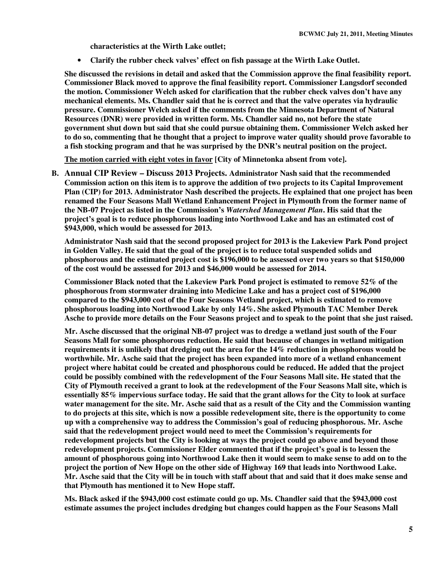**characteristics at the Wirth Lake outlet;** 

• **Clarify the rubber check valves' effect on fish passage at the Wirth Lake Outlet.** 

**She discussed the revisions in detail and asked that the Commission approve the final feasibility report. Commissioner Black moved to approve the final feasibility report. Commissioner Langsdorf seconded the motion. Commissioner Welch asked for clarification that the rubber check valves don't have any mechanical elements. Ms. Chandler said that he is correct and that the valve operates via hydraulic pressure. Commissioner Welch asked if the comments from the Minnesota Department of Natural Resources (DNR) were provided in written form. Ms. Chandler said no, not before the state government shut down but said that she could pursue obtaining them. Commissioner Welch asked her to do so, commenting that he thought that a project to improve water quality should prove favorable to a fish stocking program and that he was surprised by the DNR's neutral position on the project.** 

**The motion carried with eight votes in favor [City of Minnetonka absent from vote].** 

**B. Annual CIP Review – Discuss 2013 Projects. Administrator Nash said that the recommended Commission action on this item is to approve the addition of two projects to its Capital Improvement Plan (CIP) for 2013. Administrator Nash described the projects. He explained that one project has been renamed the Four Seasons Mall Wetland Enhancement Project in Plymouth from the former name of the NB-07 Project as listed in the Commission's** *Watershed Management Plan***. His said that the project's goal is to reduce phosphorous loading into Northwood Lake and has an estimated cost of \$943,000, which would be assessed for 2013.** 

**Administrator Nash said that the second proposed project for 2013 is the Lakeview Park Pond project in Golden Valley. He said that the goal of the project is to reduce total suspended solids and phosphorous and the estimated project cost is \$196,000 to be assessed over two years so that \$150,000 of the cost would be assessed for 2013 and \$46,000 would be assessed for 2014.** 

**Commissioner Black noted that the Lakeview Park Pond project is estimated to remove 52% of the phosphorous from stormwater draining into Medicine Lake and has a project cost of \$196,000 compared to the \$943,000 cost of the Four Seasons Wetland project, which is estimated to remove phosphorous loading into Northwood Lake by only 14%. She asked Plymouth TAC Member Derek Asche to provide more details on the Four Seasons project and to speak to the point that she just raised.** 

**Mr. Asche discussed that the original NB-07 project was to dredge a wetland just south of the Four Seasons Mall for some phosphorous reduction. He said that because of changes in wetland mitigation requirements it is unlikely that dredging out the area for the 14% reduction in phosphorous would be worthwhile. Mr. Asche said that the project has been expanded into more of a wetland enhancement project where habitat could be created and phosphorous could be reduced. He added that the project could be possibly combined with the redevelopment of the Four Seasons Mall site. He stated that the City of Plymouth received a grant to look at the redevelopment of the Four Seasons Mall site, which is essentially 85% impervious surface today. He said that the grant allows for the City to look at surface water management for the site. Mr. Asche said that as a result of the City and the Commission wanting to do projects at this site, which is now a possible redevelopment site, there is the opportunity to come up with a comprehensive way to address the Commission's goal of reducing phosphorous. Mr. Asche said that the redevelopment project would need to meet the Commission's requirements for redevelopment projects but the City is looking at ways the project could go above and beyond those redevelopment projects. Commissioner Elder commented that if the project's goal is to lessen the amount of phosphorous going into Northwood Lake then it would seem to make sense to add on to the project the portion of New Hope on the other side of Highway 169 that leads into Northwood Lake. Mr. Asche said that the City will be in touch with staff about that and said that it does make sense and that Plymouth has mentioned it to New Hope staff.** 

**Ms. Black asked if the \$943,000 cost estimate could go up. Ms. Chandler said that the \$943,000 cost estimate assumes the project includes dredging but changes could happen as the Four Seasons Mall**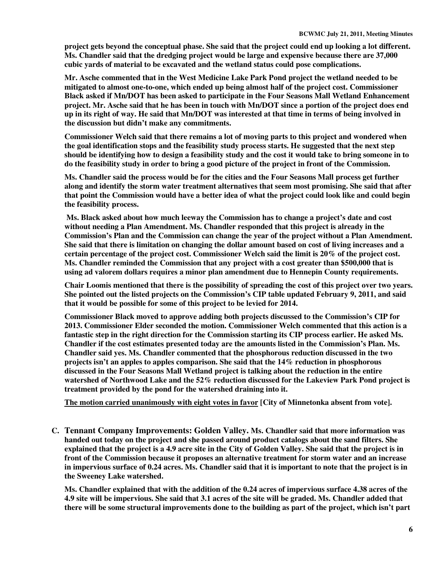**project gets beyond the conceptual phase. She said that the project could end up looking a lot different. Ms. Chandler said that the dredging project would be large and expensive because there are 37,000 cubic yards of material to be excavated and the wetland status could pose complications.** 

**Mr. Asche commented that in the West Medicine Lake Park Pond project the wetland needed to be mitigated to almost one-to-one, which ended up being almost half of the project cost. Commissioner Black asked if Mn/DOT has been asked to participate in the Four Seasons Mall Wetland Enhancement project. Mr. Asche said that he has been in touch with Mn/DOT since a portion of the project does end up in its right of way. He said that Mn/DOT was interested at that time in terms of being involved in the discussion but didn't make any commitments.** 

**Commissioner Welch said that there remains a lot of moving parts to this project and wondered when the goal identification stops and the feasibility study process starts. He suggested that the next step should be identifying how to design a feasibility study and the cost it would take to bring someone in to do the feasibility study in order to bring a good picture of the project in front of the Commission.** 

**Ms. Chandler said the process would be for the cities and the Four Seasons Mall process get further along and identify the storm water treatment alternatives that seem most promising. She said that after that point the Commission would have a better idea of what the project could look like and could begin the feasibility process.** 

 **Ms. Black asked about how much leeway the Commission has to change a project's date and cost without needing a Plan Amendment. Ms. Chandler responded that this project is already in the Commission's Plan and the Commission can change the year of the project without a Plan Amendment. She said that there is limitation on changing the dollar amount based on cost of living increases and a certain percentage of the project cost. Commissioner Welch said the limit is 20% of the project cost. Ms. Chandler reminded the Commission that any project with a cost greater than \$500,000 that is using ad valorem dollars requires a minor plan amendment due to Hennepin County requirements.** 

**Chair Loomis mentioned that there is the possibility of spreading the cost of this project over two years. She pointed out the listed projects on the Commission's CIP table updated February 9, 2011, and said that it would be possible for some of this project to be levied for 2014.** 

**Commissioner Black moved to approve adding both projects discussed to the Commission's CIP for 2013. Commissioner Elder seconded the motion. Commissioner Welch commented that this action is a fantastic step in the right direction for the Commission starting its CIP process earlier. He asked Ms. Chandler if the cost estimates presented today are the amounts listed in the Commission's Plan. Ms. Chandler said yes. Ms. Chandler commented that the phosphorous reduction discussed in the two projects isn't an apples to apples comparison. She said that the 14% reduction in phosphorous discussed in the Four Seasons Mall Wetland project is talking about the reduction in the entire watershed of Northwood Lake and the 52% reduction discussed for the Lakeview Park Pond project is treatment provided by the pond for the watershed draining into it.** 

**The motion carried unanimously with eight votes in favor [City of Minnetonka absent from vote].** 

**C. Tennant Company Improvements: Golden Valley. Ms. Chandler said that more information was handed out today on the project and she passed around product catalogs about the sand filters. She explained that the project is a 4.9 acre site in the City of Golden Valley. She said that the project is in front of the Commission because it proposes an alternative treatment for storm water and an increase in impervious surface of 0.24 acres. Ms. Chandler said that it is important to note that the project is in the Sweeney Lake watershed.** 

**Ms. Chandler explained that with the addition of the 0.24 acres of impervious surface 4.38 acres of the 4.9 site will be impervious. She said that 3.1 acres of the site will be graded. Ms. Chandler added that there will be some structural improvements done to the building as part of the project, which isn't part**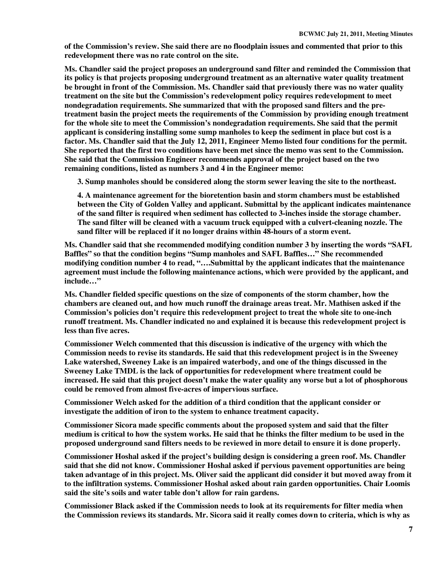**of the Commission's review. She said there are no floodplain issues and commented that prior to this redevelopment there was no rate control on the site.** 

**Ms. Chandler said the project proposes an underground sand filter and reminded the Commission that its policy is that projects proposing underground treatment as an alternative water quality treatment be brought in front of the Commission. Ms. Chandler said that previously there was no water quality treatment on the site but the Commission's redevelopment policy requires redevelopment to meet nondegradation requirements. She summarized that with the proposed sand filters and the pretreatment basin the project meets the requirements of the Commission by providing enough treatment for the whole site to meet the Commission's nondegradation requirements. She said that the permit applicant is considering installing some sump manholes to keep the sediment in place but cost is a factor. Ms. Chandler said that the July 12, 2011, Engineer Memo listed four conditions for the permit. She reported that the first two conditions have been met since the memo was sent to the Commission. She said that the Commission Engineer recommends approval of the project based on the two remaining conditions, listed as numbers 3 and 4 in the Engineer memo:** 

**3. Sump manholes should be considered along the storm sewer leaving the site to the northeast.** 

**4. A maintenance agreement for the bioretention basin and storm chambers must be established between the City of Golden Valley and applicant. Submittal by the applicant indicates maintenance of the sand filter is required when sediment has collected to 3-inches inside the storage chamber. The sand filter will be cleaned with a vacuum truck equipped with a culvert-cleaning nozzle. The sand filter will be replaced if it no longer drains within 48-hours of a storm event.** 

**Ms. Chandler said that she recommended modifying condition number 3 by inserting the words "SAFL Baffles" so that the condition begins "Sump manholes and SAFL Baffles…" She recommended modifying condition number 4 to read, "….Submittal by the applicant indicates that the maintenance agreement must include the following maintenance actions, which were provided by the applicant, and include…"** 

**Ms. Chandler fielded specific questions on the size of components of the storm chamber, how the chambers are cleaned out, and how much runoff the drainage areas treat. Mr. Mathisen asked if the Commission's policies don't require this redevelopment project to treat the whole site to one-inch runoff treatment. Ms. Chandler indicated no and explained it is because this redevelopment project is less than five acres.** 

**Commissioner Welch commented that this discussion is indicative of the urgency with which the Commission needs to revise its standards. He said that this redevelopment project is in the Sweeney Lake watershed, Sweeney Lake is an impaired waterbody, and one of the things discussed in the Sweeney Lake TMDL is the lack of opportunities for redevelopment where treatment could be increased. He said that this project doesn't make the water quality any worse but a lot of phosphorous could be removed from almost five-acres of impervious surface.** 

**Commissioner Welch asked for the addition of a third condition that the applicant consider or investigate the addition of iron to the system to enhance treatment capacity.** 

**Commissioner Sicora made specific comments about the proposed system and said that the filter medium is critical to how the system works. He said that he thinks the filter medium to be used in the proposed underground sand filters needs to be reviewed in more detail to ensure it is done properly.** 

**Commissioner Hoshal asked if the project's building design is considering a green roof. Ms. Chandler said that she did not know. Commissioner Hoshal asked if pervious pavement opportunities are being taken advantage of in this project. Ms. Oliver said the applicant did consider it but moved away from it to the infiltration systems. Commissioner Hoshal asked about rain garden opportunities. Chair Loomis said the site's soils and water table don't allow for rain gardens.** 

**Commissioner Black asked if the Commission needs to look at its requirements for filter media when the Commission reviews its standards. Mr. Sicora said it really comes down to criteria, which is why as**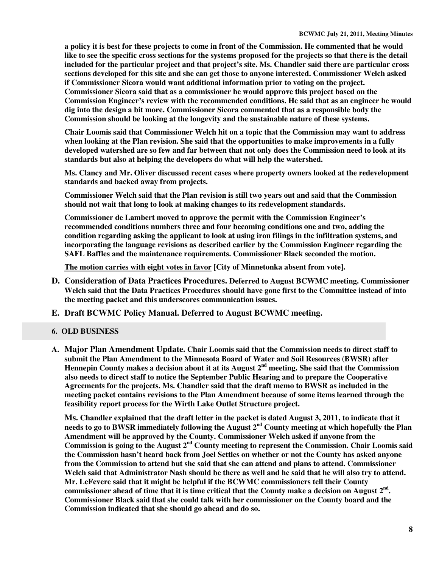**a policy it is best for these projects to come in front of the Commission. He commented that he would like to see the specific cross sections for the systems proposed for the projects so that there is the detail included for the particular project and that project's site. Ms. Chandler said there are particular cross sections developed for this site and she can get those to anyone interested. Commissioner Welch asked if Commissioner Sicora would want additional information prior to voting on the project. Commissioner Sicora said that as a commissioner he would approve this project based on the Commission Engineer's review with the recommended conditions. He said that as an engineer he would dig into the design a bit more. Commissioner Sicora commented that as a responsible body the Commission should be looking at the longevity and the sustainable nature of these systems.** 

**Chair Loomis said that Commissioner Welch hit on a topic that the Commission may want to address when looking at the Plan revision. She said that the opportunities to make improvements in a fully developed watershed are so few and far between that not only does the Commission need to look at its standards but also at helping the developers do what will help the watershed.** 

**Ms. Clancy and Mr. Oliver discussed recent cases where property owners looked at the redevelopment standards and backed away from projects.** 

**Commissioner Welch said that the Plan revision is still two years out and said that the Commission should not wait that long to look at making changes to its redevelopment standards.** 

**Commissioner de Lambert moved to approve the permit with the Commission Engineer's recommended conditions numbers three and four becoming conditions one and two, adding the condition regarding asking the applicant to look at using iron filings in the infiltration systems, and incorporating the language revisions as described earlier by the Commission Engineer regarding the SAFL Baffles and the maintenance requirements. Commissioner Black seconded the motion.** 

**The motion carries with eight votes in favor [City of Minnetonka absent from vote].** 

- **D. Consideration of Data Practices Procedures. Deferred to August BCWMC meeting. Commissioner Welch said that the Data Practices Procedures should have gone first to the Committee instead of into the meeting packet and this underscores communication issues.**
- **E. Draft BCWMC Policy Manual. Deferred to August BCWMC meeting.**

## **6. OLD BUSINESS**

**A. Major Plan Amendment Update. Chair Loomis said that the Commission needs to direct staff to submit the Plan Amendment to the Minnesota Board of Water and Soil Resources (BWSR) after Hennepin County makes a decision about it at its August 2nd meeting. She said that the Commission also needs to direct staff to notice the September Public Hearing and to prepare the Cooperative Agreements for the projects. Ms. Chandler said that the draft memo to BWSR as included in the meeting packet contains revisions to the Plan Amendment because of some items learned through the feasibility report process for the Wirth Lake Outlet Structure project.** 

**Ms. Chandler explained that the draft letter in the packet is dated August 3, 2011, to indicate that it needs to go to BWSR immediately following the August 2nd County meeting at which hopefully the Plan Amendment will be approved by the County. Commissioner Welch asked if anyone from the Commission is going to the August 2nd County meeting to represent the Commission. Chair Loomis said the Commission hasn't heard back from Joel Settles on whether or not the County has asked anyone from the Commission to attend but she said that she can attend and plans to attend. Commissioner Welch said that Administrator Nash should be there as well and he said that he will also try to attend. Mr. LeFevere said that it might be helpful if the BCWMC commissioners tell their County commissioner ahead of time that it is time critical that the County make a decision on August 2nd . Commissioner Black said that she could talk with her commissioner on the County board and the Commission indicated that she should go ahead and do so.**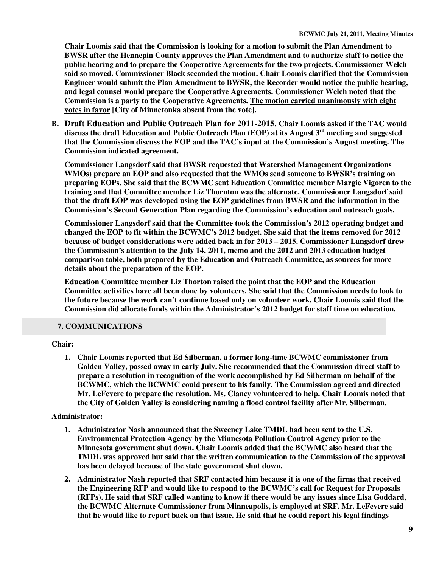**Chair Loomis said that the Commission is looking for a motion to submit the Plan Amendment to BWSR after the Hennepin County approves the Plan Amendment and to authorize staff to notice the public hearing and to prepare the Cooperative Agreements for the two projects. Commissioner Welch said so moved. Commissioner Black seconded the motion. Chair Loomis clarified that the Commission Engineer would submit the Plan Amendment to BWSR, the Recorder would notice the public hearing, and legal counsel would prepare the Cooperative Agreements. Commissioner Welch noted that the Commission is a party to the Cooperative Agreements. The motion carried unanimously with eight votes in favor [City of Minnetonka absent from the vote].** 

**B. Draft Education and Public Outreach Plan for 2011-2015. Chair Loomis asked if the TAC would discuss the draft Education and Public Outreach Plan (EOP) at its August 3rd meeting and suggested that the Commission discuss the EOP and the TAC's input at the Commission's August meeting. The Commission indicated agreement.** 

**Commissioner Langsdorf said that BWSR requested that Watershed Management Organizations WMOs) prepare an EOP and also requested that the WMOs send someone to BWSR's training on preparing EOPs. She said that the BCWMC sent Education Committee member Margie Vigoren to the training and that Committee member Liz Thornton was the alternate. Commissioner Langsdorf said that the draft EOP was developed using the EOP guidelines from BWSR and the information in the Commission's Second Generation Plan regarding the Commission's education and outreach goals.** 

**Commissioner Langsdorf said that the Committee took the Commission's 2012 operating budget and changed the EOP to fit within the BCWMC's 2012 budget. She said that the items removed for 2012 because of budget considerations were added back in for 2013 – 2015. Commissioner Langsdorf drew the Commission's attention to the July 14, 2011, memo and the 2012 and 2013 education budget comparison table, both prepared by the Education and Outreach Committee, as sources for more details about the preparation of the EOP.** 

**Education Committee member Liz Thorton raised the point that the EOP and the Education Committee activities have all been done by volunteers. She said that the Commission needs to look to the future because the work can't continue based only on volunteer work. Chair Loomis said that the Commission did allocate funds within the Administrator's 2012 budget for staff time on education.** 

## **7. COMMUNICATIONS**

## **Chair:**

**1. Chair Loomis reported that Ed Silberman, a former long-time BCWMC commissioner from Golden Valley, passed away in early July. She recommended that the Commission direct staff to prepare a resolution in recognition of the work accomplished by Ed Silberman on behalf of the BCWMC, which the BCWMC could present to his family. The Commission agreed and directed Mr. LeFevere to prepare the resolution. Ms. Clancy volunteered to help. Chair Loomis noted that the City of Golden Valley is considering naming a flood control facility after Mr. Silberman.** 

## **Administrator:**

- **1. Administrator Nash announced that the Sweeney Lake TMDL had been sent to the U.S. Environmental Protection Agency by the Minnesota Pollution Control Agency prior to the Minnesota government shut down. Chair Loomis added that the BCWMC also heard that the TMDL was approved but said that the written communication to the Commission of the approval has been delayed because of the state government shut down.**
- **2. Administrator Nash reported that SRF contacted him because it is one of the firms that received the Engineering RFP and would like to respond to the BCWMC's call for Request for Proposals (RFPs). He said that SRF called wanting to know if there would be any issues since Lisa Goddard, the BCWMC Alternate Commissioner from Minneapolis, is employed at SRF. Mr. LeFevere said that he would like to report back on that issue. He said that he could report his legal findings**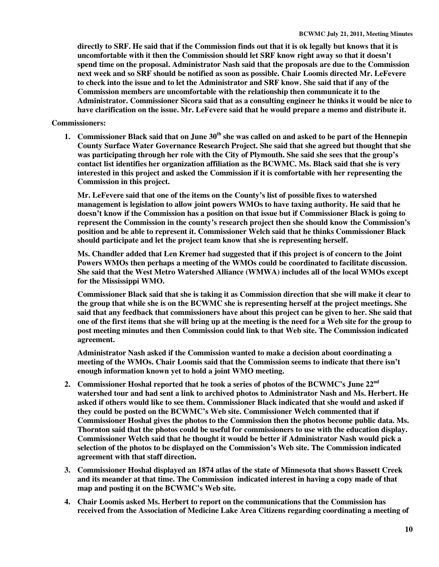**directly to SRF. He said that if the Commission finds out that it is ok legally but knows that it is uncomfortable with it then the Commission should let SRF know right away so that it doesn't spend time on the proposal. Administrator Nash said that the proposals are due to the Commission next week and so SRF should be notified as soon as possible. Chair Loomis directed Mr. LeFevere to check into the issue and to let the Administrator and SRF know. She said that if any of the Commission members are uncomfortable with the relationship then communicate it to the Administrator. Commissioner Sicora said that as a consulting engineer he thinks it would be nice to have clarification on the issue. Mr. LeFevere said that he would prepare a memo and distribute it.** 

#### **Commissioners:**

**1. Commissioner Black said that on June 30th she was called on and asked to be part of the Hennepin County Surface Water Governance Research Project. She said that she agreed but thought that she was participating through her role with the City of Plymouth. She said she sees that the group's contact list identifies her organization affiliation as the BCWMC. Ms. Black said that she is very interested in this project and asked the Commission if it is comfortable with her representing the Commission in this project.** 

**Mr. LeFevere said that one of the items on the County's list of possible fixes to watershed management is legislation to allow joint powers WMOs to have taxing authority. He said that he doesn't know if the Commission has a position on that issue but if Commissioner Black is going to represent the Commission in the county's research project then she should know the Commission's position and be able to represent it. Commissioner Welch said that he thinks Commissioner Black should participate and let the project team know that she is representing herself.** 

**Ms. Chandler added that Len Kremer had suggested that if this project is of concern to the Joint Powers WMOs then perhaps a meeting of the WMOs could be coordinated to facilitate discussion. She said that the West Metro Watershed Alliance (WMWA) includes all of the local WMOs except for the Mississippi WMO.** 

**Commissioner Black said that she is taking it as Commission direction that she will make it clear to the group that while she is on the BCWMC she is representing herself at the project meetings. She said that any feedback that commissioners have about this project can be given to her. She said that one of the first items that she will bring up at the meeting is the need for a Web site for the group to post meeting minutes and then Commission could link to that Web site. The Commission indicated agreement.** 

**Administrator Nash asked if the Commission wanted to make a decision about coordinating a meeting of the WMOs. Chair Loomis said that the Commission seems to indicate that there isn't enough information known yet to hold a joint WMO meeting.** 

- **2. Commissioner Hoshal reported that he took a series of photos of the BCWMC's June 22nd watershed tour and had sent a link to archived photos to Administrator Nash and Ms. Herbert. He asked if others would like to see them. Commissioner Black indicated that she would and asked if they could be posted on the BCWMC's Web site. Commissioner Welch commented that if Commissioner Hoshal gives the photos to the Commission then the photos become public data. Ms. Thornton said that the photos could be useful for commissioners to use with the education display. Commissioner Welch said that he thought it would be better if Administrator Nash would pick a selection of the photos to be displayed on the Commission's Web site. The Commission indicated agreement with that staff direction.**
- **3. Commissioner Hoshal displayed an 1874 atlas of the state of Minnesota that shows Bassett Creek and its meander at that time. The Commission indicated interest in having a copy made of that map and posting it on the BCWMC's Web site.**
- **4. Chair Loomis asked Ms. Herbert to report on the communications that the Commission has received from the Association of Medicine Lake Area Citizens regarding coordinating a meeting of**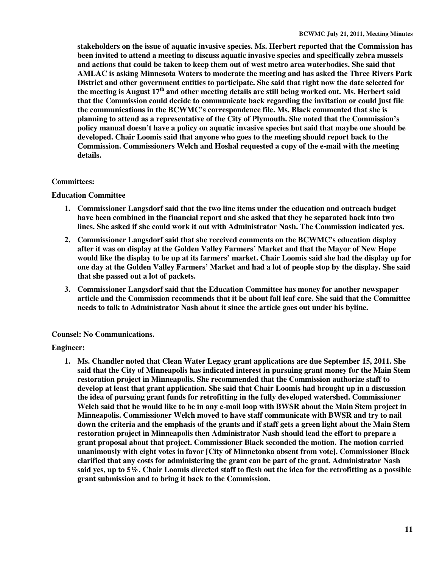**stakeholders on the issue of aquatic invasive species. Ms. Herbert reported that the Commission has been invited to attend a meeting to discuss aquatic invasive species and specifically zebra mussels and actions that could be taken to keep them out of west metro area waterbodies. She said that AMLAC is asking Minnesota Waters to moderate the meeting and has asked the Three Rivers Park District and other government entities to participate. She said that right now the date selected for the meeting is August 17th and other meeting details are still being worked out. Ms. Herbert said that the Commission could decide to communicate back regarding the invitation or could just file the communications in the BCWMC's correspondence file. Ms. Black commented that she is planning to attend as a representative of the City of Plymouth. She noted that the Commission's policy manual doesn't have a policy on aquatic invasive species but said that maybe one should be developed. Chair Loomis said that anyone who goes to the meeting should report back to the Commission. Commissioners Welch and Hoshal requested a copy of the e-mail with the meeting details.** 

#### **Committees:**

#### **Education Committee**

- **1. Commissioner Langsdorf said that the two line items under the education and outreach budget have been combined in the financial report and she asked that they be separated back into two lines. She asked if she could work it out with Administrator Nash. The Commission indicated yes.**
- **2. Commissioner Langsdorf said that she received comments on the BCWMC's education display after it was on display at the Golden Valley Farmers' Market and that the Mayor of New Hope would like the display to be up at its farmers' market. Chair Loomis said she had the display up for one day at the Golden Valley Farmers' Market and had a lot of people stop by the display. She said that she passed out a lot of packets.**
- **3. Commissioner Langsdorf said that the Education Committee has money for another newspaper article and the Commission recommends that it be about fall leaf care. She said that the Committee needs to talk to Administrator Nash about it since the article goes out under his byline.**

## **Counsel: No Communications.**

## **Engineer:**

**1. Ms. Chandler noted that Clean Water Legacy grant applications are due September 15, 2011. She said that the City of Minneapolis has indicated interest in pursuing grant money for the Main Stem restoration project in Minneapolis. She recommended that the Commission authorize staff to develop at least that grant application. She said that Chair Loomis had brought up in a discussion the idea of pursuing grant funds for retrofitting in the fully developed watershed. Commissioner Welch said that he would like to be in any e-mail loop with BWSR about the Main Stem project in Minneapolis. Commissioner Welch moved to have staff communicate with BWSR and try to nail down the criteria and the emphasis of the grants and if staff gets a green light about the Main Stem restoration project in Minneapolis then Administrator Nash should lead the effort to prepare a grant proposal about that project. Commissioner Black seconded the motion. The motion carried unanimously with eight votes in favor [City of Minnetonka absent from vote]. Commissioner Black clarified that any costs for administering the grant can be part of the grant. Administrator Nash said yes, up to 5%. Chair Loomis directed staff to flesh out the idea for the retrofitting as a possible grant submission and to bring it back to the Commission.**